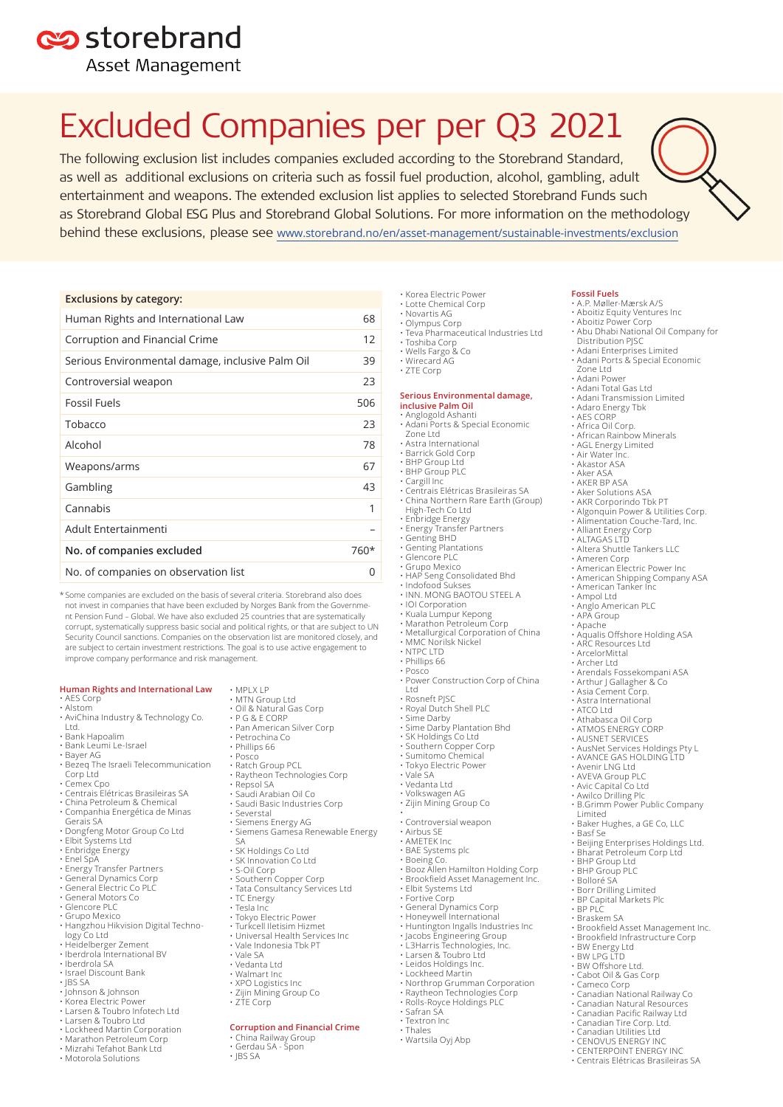## es storebrand

**Asset Management** 

# Excluded Companies per per Q3 2021

The following exclusion list includes companies excluded according to the Storebrand Standard, as well as additional exclusions on criteria such as fossil fuel production, alcohol, gambling, adult entertainment and weapons. The extended exclusion list applies to selected Storebrand Funds such as Storebrand Global ESG Plus and Storebrand Global Solutions. For more information on the methodology behind these exclusions, please see www.storebrand.no/en/asset-management/sustainable-investments/exclusion

### **Exclusions by category:**

| Human Rights and International Law               | 68     |
|--------------------------------------------------|--------|
| Corruption and Financial Crime                   | 12     |
| Serious Environmental damage, inclusive Palm Oil | 39     |
| Controversial weapon                             | 23     |
| <b>Fossil Fuels</b>                              | 506    |
| Tobacco                                          | 23     |
| Alcohol                                          | 78     |
| Weapons/arms                                     | 67     |
| Gambling                                         | 43     |
| Cannabis                                         | 1      |
| Adult Entertainmenti                             |        |
| No. of companies excluded                        | $760*$ |
| No. of companies on observation list             | O      |

\* Some companies are excluded on the basis of several criteria. Storebrand also does not invest in companies that have been excluded by Norges Bank from the Government Pension Fund – Global. We have also excluded 25 countries that are systematically corrupt, systematically suppress basic social and political rights, or that are subject to UN Security Council sanctions. Companies on the observation list are monitored closely, and are subject to certain investment restrictions. The goal is to use active engagement to improve company performance and risk management.

### **Human Rights and International Law**

- AES Corp • Alstom
- AviChina Industry & Technology Co.
- Ltd. • Bank Hapoalim
- Bank Leumi Le-Israel
- 
- Bayer AG Bezeq The Israeli Telecommunication
- Corp Ltd • Cemex Cpo
- 
- Centrais Elétricas Brasileiras SA
- China Petroleum & Chemical Companhia Energética de Minas
- Gerais SA Dongfeng Motor Group Co Ltd
- Elbit Systems Ltd
- 
- 
- Enbridge Energy Enel SpA Energy Transfer Partners General Dynamics Corp
- General Electric Co PLC General Motors Co
- 
- Glencore PLC Grupo Mexico
- Hangzhou Hikvision Digital Techno-
- logy Co Ltd
- Heidelberger Zement Iberdrola International BV Iberdrola SA
- 
- Israel Discount Bank
- JBS SA
- Johnson & Johnson Korea Electric Power
- 
- Larsen & Toubro Infotech Ltd Larsen & Toubro Ltd
- Lockheed Martin Corporation
- 
- Marathon Petroleum Corp Mizrahi Tefahot Bank Ltd
- Motorola Solutions
- MPLX LP
- MTN Group Ltd Oil & Natural Gas Corp
- P G & E CORP
- Pan American Silver Corp
- Petrochina Co • Phillips 66
- Posco
- 
- Ratch Group PCL Raytheon Technologies Corp Repsol SA Saudi Arabian Oil Co
- 
- Saudi Basic Industries Corp
- Severstal
- Siemens Energy AG
- Siemens Gamesa Renewable Energy
- SA SK Holdings Co Ltd SK Innovation Co Ltd
- 
- S-Oil Corp Southern Copper Corp
- Tata Consultancy Services Ltd
- TC Energy
- Tesla Inc
- Tokyo Electric Power Turkcell Iletisim Hizmet
- Universal Health Services Inc
- Vale Indonesia Tbk PT
- Vale SA
- Vedanta Ltd
- Walmart Inc
- XPO Logistics Inc
- Zijin Mining Group Co
- $\cdot$  7TF Corp

### **Corruption and Financial Crime**

- China Railway Group Gerdau SA Spon
- JBS SA

### • Korea Electric Power • Lotte Chemical Corp

- Novartis AG
- Olympus Corp • Teva Pharmaceutical Industries Ltd

**Fossil Fuels**

Zone Ltd • Adani Power • Adani Total Gas Ltd • Adani Transmission Limited • Adaro Energy Tbk

• AES CORP

• A.P. Møller-Mærsk A/S • Aboitiz Equity Ventures Inc • Aboitiz Power Corp • Abu Dhabi National Oil Company for

• Africa Oil Corp. • African Rainbow Minerals • AGL Energy Limited • Air Water Inc. • Akastor ASA • Aker ASA • AKER BP ASA • Aker Solutions ASA • AKR Corporindo Tbk PT • Algonquin Power & Utilities Corp. • Alimentation Couche-Tard, Inc.

• Alliant Energy Corp • ALTAGAS LTD • Altera Shuttle Tankers LLC

• Ampol Ltd • Anglo American PLC • APA Group • Apache

• Avenir LNG Ltd • AVEVA Group PLC • Avic Capital Co Ltd • Awilco Drilling Plc

• BHP Group Ltd **BHP Group PLC** • Bolloré SA • Borr Drilling Limited **BP Capital Markets Plc** 

• BW Energy Ltd • BW LPG LTD • BW Offshore Ltd. • Cabot Oil & Gas Corp • Cameco Corp

Limited

• BP PLC • Braskem SA

• American Electric Power Inc • American Shipping Company ASA • American Tanker Inc

• Aqualis Offshore Holding ASA • ARC Resources Ltd • ArcelorMittal

• Archer Ltd • Arendals Fossekompani ASA • Arthur J Gallagher & Co • Asia Cement Corp. • Astra International • ATCO Ltd • Athabasca Oil Corp • ATMOS ENERGY CORP • AUSNET SERVICES • AusNet Services Holdings Pty L • AVANCE GAS HOLDING LTD

• B.Grimm Power Public Company

• Brookfield Asset Management Inc. • Brookfield Infrastructure Corp

• Canadian National Railway Co **Canadian Natural Resource** • Canadian Pacific Railway Ltd • Canadian Tire Corp. Ltd. • Canadian Utilities Ltd • CENOVUS ENERGY INC • CENTERPOINT ENERGY INC • Centrais Elétricas Brasileiras SA

• Baker Hughes, a GE Co, LLC • Basf Se • Beijing Enterprises Holdings Ltd. • Bharat Petroleum Corp Ltd

• Ameren Corp

Distribution PJSC • Adani Enterprises Limited • Adani Ports & Special Economic

- Toshiba Corp Wells Fargo & Co
- 
- Wirecard AG • ZTE Corp
- 

### **Serious Environmental damage, inclusive Palm Oil**

- Anglogold Ashanti Adani Ports & Special Economic Zone Ltd
- Astra International
- Barrick Gold Corp BHP Group Ltd
- BHP Group PLC
- 
- Cargill Inc Centrais Elétricas Brasileiras SA • China Northern Rare Earth (Group) High-Tech Co Ltd
- Enbridge Energy
- 
- Energy Transfer Partners Genting BHD
- Genting Plantations Glencore PLC
- 
- 
- Grupo Mexico HAP Seng Consolidated Bhd Indofood Sukses INN. MONG BAOTOU STEEL A
- 
- IOI Corporation
- Kuala Lumpur Kepong
- Marathon Petroleum Corp
- Metallurgical Corporation of China
- MMC Norilsk Nickel

• Power Construction Corp of China

• Boeing Co. • Booz Allen Hamilton Holding Corp • Brookfield Asset Management Inc.

• Northrop Grumman Corporation • Raytheon Technologies Corp • Rolls-Royce Holdings PLC

- NTPC LTD
- Phillips 66 • Posco

• Airbus SE • AMETEK Inc • BAE Systems plc

• Safran SA • Textron Inc • Thales • Wartsila Oyj Abp

• Elbit Systems Ltd • Fortive Corp • General Dynamics Corp • Honeywell International • Huntington Ingalls Industries Inc • Jacobs Engineering Group • L3Harris Technologies, Inc. • Larsen & Toubro Ltd • Leidos Holdings Inc. • Lockheed Martin

Ltd • Rosneft PJSC • Royal Dutch Shell PLC • Sime Darby • Sime Darby Plantation Bhd • SK Holdings Co Ltd • Southern Copper Corp • Sumitomo Chemical • Tokyo Electric Power • Vale SA • Vedanta Ltd • Volkswagen AG • Zijin Mining Group Co • • Controversial weapon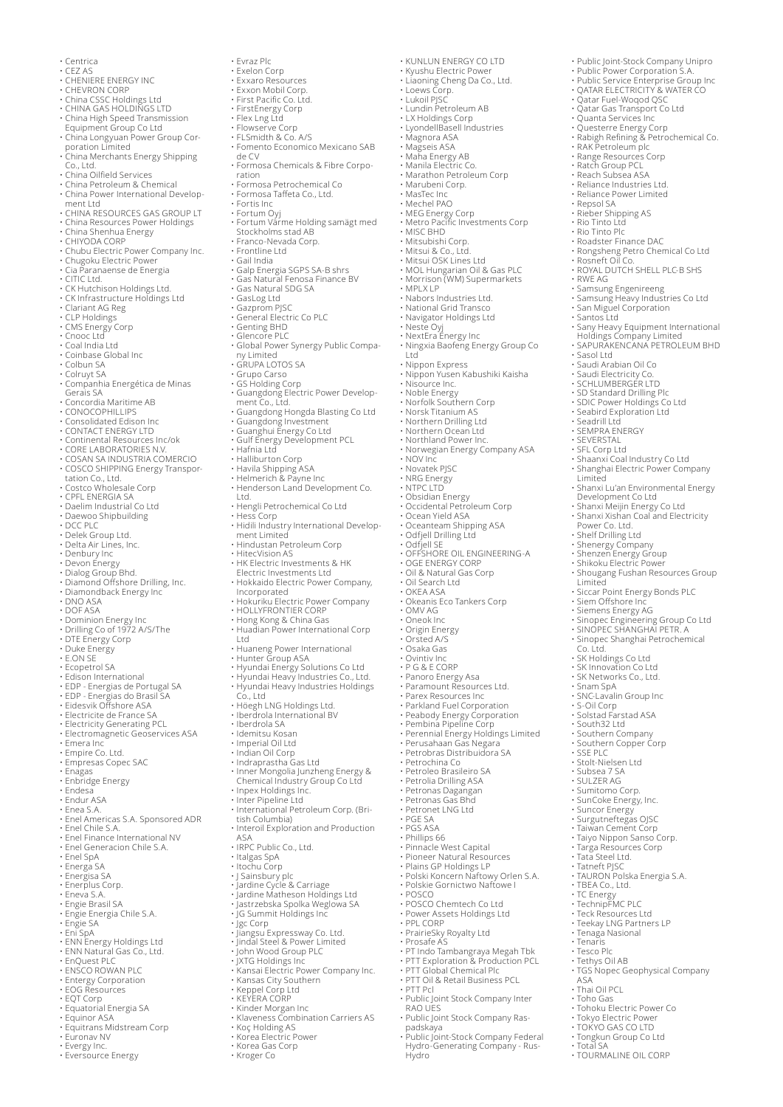- Centrica<br>• CEZ AS
- 
- 
- 
- 
- 
- 
- CEZ AS<br>• CHENIERE ENERGY INC<br>• CHENRON CORP<br>• CHINA GAS HOLDINGS LTD<br>• CHINA GAS HOLDINGS LTD<br>• China High Speed Transmission<br>• Equipment Group Co Ltd<br>• China Longyuan Power Group Cor-<br>• China Merchants Energy Shipping
- 
- 
- Co., Ltd. China Oilfield Services China Petroleum & Chemical China Power International Develop-
- 
- ment Ltd CHINA RESOURCES GAS GROUP LT China Resources Power Holdings China Shenhua Energy CHIYODA CORP
- 
- 
- 
- Chubu Electric Power Company Inc. Chugoku Electric Power Cia Paranaense de Energia
- 
- 
- CITIC Ltd. CK Hutchison Holdings Ltd.
- 
- CK Infrastructure Holdings Ltd Clariant AG Reg
- CLP Holdings
- CMS Energy Corp Cnooc Ltd
- 
- Coal India Ltd Coinbase Global Inc
- Colbun SA
- Colruyt SA
- Companhia Energética de Minas Gerais SA Concordia Maritime AB CONOCOPHILLIPS Consolidated Edison Inc
- 
- 
- 
- CONTACT ENERGY LTD Continental Resources Inc/ok
- 
- 
- CORE LABORATORIES N.V. COSAN SA INDUSTRIA COMERCIO COSCO SHIPPING Energy Transportation Co., Ltd.
- Costco Wholesale Corp
- CPFL ENERGIA SA Daelim Industrial Co Ltd
- 
- Daewoo Shipbuilding DCC PLC
- Delek Group Ltd.
- 
- 
- 
- Delta Air Lines, Inc. Denbury Inc Devon Energy Dialog Group Bhd.
- Diamond Offshore Drilling, Inc. Diamondback Energy Inc DNO ASA DOF ASA
- 
- 
- Dominion Energy Inc
- 
- Drilling Co of 1972 A/S/The DTE Energy Corp Duke Energy E.ON SE
- 
- Ecopetrol SA
- 
- 
- 
- 
- 
- Edison International<br>• EDP Energias de Portugal SA<br>• Eidesvik Offshore ASA<br>• Electricite de France SA<br>• Electricite de France SA<br>• Electromagnetic Geoservices ASA<br>• Electromagnetic Geoservices ASA
- 
- 
- Emera Inc Empire Co. Ltd. Empresas Copec SAC Enagas
- 
- Enbridge Energy Endesa
- 
- Endur ASA Enea S.A.
- Enel Americas S.A. Sponsored ADR
- 
- Enel Chile S.A. Enel Finance International NV
- Enel Generacion Chile S.A.
- Enel SpA Energa SA
- 
- 
- 
- Energisa SA Enerplus Corp. Eneva S.A. Engie Brasil SA
- Engie Energia Chile S.A.
- 
- 
- 
- 
- Engie SA Eni SpA ENN Energy Holdings Ltd ENN Natural Gas Co., Ltd. EnQuest PLC ENSCO ROWAN PLC
- 
- 
- Entergy Corporation EOG Resources
- 
- EQT Corp Equatorial Energia SA
- 
- Equinor ASA Equitrans Midstream Corp
- Euronav NV
- 
- Evergy Inc. Eversource Energy
- 
- Evraz Plc Exelon Corp
- 
- Exxaro Resources Exxon Mobil Corp. First Pacific Co. Ltd.
- 
- FirstEnergy Corp Flex Lng Ltd
- Flowserve Corp FLSmidth & Co. A/S
- Fomento Economico Mexicano SAB
- de CV • Formosa Chemicals & Fibre Corpo-

ration • Formosa Petrochemical Co

Stockholms stad AB • Franco-Nevada Corp. • Frontline Ltd • Gail India

• GasLog Ltd • Gazprom PJSC • General Electric Co PLC • Genting BHD • Glencore PLC

• GRUPA LOTOS SA • Grupo Carso • GS Holding Corp

• Galp Energia SGPS SA-B shrs • Gas Natural Fenosa Finance BV • Gas Natural SDG SA

• Formosa Taffeta Co., Ltd. • Fortis Inc • Fortum Oyj • Fortum Värme Holding samägt med

• KUNLUN ENERGY CO LTD • Kyushu Electric Power • Liaoning Cheng Da Co., Ltd. • Public Joint-Stock Company Unipro • Public Power Corporation S.A.

- Public Service Enterprise Group Inc<br>
- QATAR ELECTRICITY & WATER CO<br>
- QATAR ELECTRICITY & WATER CO<br>
- Quatar Gas Transport Co Ltd<br>
- Quatar Gas Transport Co Ltd<br>
- Quatar Gas Transport Co Ltd<br>
- Rabigh Refining & Petroc

• Rongsheng Petro Chemical Co Ltd • Rosneft Oil Co. • ROYAL DUTCH SHELL PLC-B SHS

• Samsung Heavy Industries Co Ltd • San Miguel Corporation

• Sasol Ltd • Saudi Arabian Oil Co • Saudi Electricity Co. • SCHLUMBERGER LTD • SD Standard Drilling Plc • SDIC Power Holdings Co Ltd • Seabird Exploration Ltd • Seadrill Ltd

• SFL Corp Ltd • Shaanxi Coal Industry Co Ltd • Shanghai Electric Power Company

• Shanxi Lu'an Environmental Energy

Development Co Ltd • Shanxi Meijin Energy Co Ltd • Shanxi Xishan Coal and Electricity Power Co. Ltd.

• Shenergy Company • Shenzen Energy Group • Shikoku Electric Power • Shougang Fushan Resources Group

Limited<br>• Siccar Point Energy Bonds PLC<br>• Siem Offshore Inc<br>• Siemens Energy AG<br>• Sinopec Engineering Group Co Ltd<br>• SINOPEC SHANGHAI PETR. A<br>• SINOPEC SHANGHAI PETR. A<br>• SK Innovation Co Ltd<br>• SK Innovation Co Ltd<br>• SK In

• Snam SpA • SNC-Lavalin Group Inc • S-Oil Corp • Solstad Farstad ASA • South32 Ltd

• Southern Company • Southern Copper Corp • SSE PLC • Stolt-Nielsen Ltd • Subsea 7 SA • SULZER AG • Sumitomo Corp.

• SunCoke Energy, Inc. • Suncor Energy • Surgutneftegas OJSC • Taiwan Cement Corp • Taiyo Nippon Sanso Corp.

• Tatneft PJSC • TAURON Polska Energia S.A. • TBEA Co., Ltd. • TC Energy • TechnipFMC PLC

• Teck Resources Ltd • Teekay LNG Partners LP • Tenaga Nasional • Tenaris

• Toho Gas • Tohoku Electric Power Co • Tokyo Electric Power • TOKYO GAS CO LTD • Tongkun Group Co Ltd • Total SA • TOURMALINE OIL CORP

 $\Delta\subseteq\Delta$ • Thai Oil PCL

• Tesco Plc • Tethys Oil AB • TGS Nopec Geophysical Company

• Targa Resources Corp • Tata Steel Ltd.

• SEMPRA ENERGY • SEVERSTAL

• Shelf Drilling Ltd

Limited

• Santos Ltd • Sany Heavy Equipment International Holdings Company Limited • SAPURAKENCANA PETROLEUM BHD

• Rio Tinto Plc<br>• Roadster Finance DAC

• RWE AG • Samsung Engenireeng

• Loews Corp. • Lukoil PJSC • Lundin Petroleum AB • LX Holdings Corp • LyondellBasell Industries • Magnora ASA

• Magseis ASA • Maha Energy AB • Manila Electric Co. • Marathon Petroleum Corp

• MEG Energy Corp • Metro Pacific Investments Corp

• Mitsui & Co., Ltd. • Mitsui OSK Lines Ltd • MOL Hungarian Oil & Gas PLC • Morrison (WM) Supermarkets • MPLX LP

• Neste Oyj • NextEra Energy Inc • Ningxia Baofeng Energy Group Co Ltd

• Nippon Express • Nippon Yusen Kabushiki Kaisha • Nisource Inc.

• Norwegian Energy Company ASA • NOV Inc • Novatek PJSC

• Obsidian Energy • Occidental Petroleum Corp • Ocean Yield ASA • Oceanteam Shipping ASA • Odfjell Drilling Ltd

• Odfjell SE • OFFSHORE OIL ENGINEERING-A • OGE ENERGY CORP • Oil & Natural Gas Corp

• Oil Search Ltd • OKEA ASA • Okeanis Eco Tankers Corp • OMV AG • Oneok Inc

• Osaka Gas • Ovintiv Inc • P G & E CORP • Panoro Energy Asa • Paramount Resources Ltd. • Parex Resources Inc • Parkland Fuel Corporation • Peabody Energy Corporation • Pembina Pipeline Corp

• Perennial Energy Holdings Limited • Perusahaan Gas Negara • Petrobras Distribuidora SA

• PGS ASA<br>• Phillips 66<br>• Pinnacle West Capital<br>• Piains GP Holdings LP<br>• Polski Koncern Naftowy Orlen S.A.<br>• Polskie Gornictwo Naftowe I

• PT Indo Tambangraya Megah Tbk • PTT Exploration & Production PCL • PTT Global Chemical Plc • PTT Oil & Retail Business PCL

• Public Joint Stock Company Inter RAO UES • Public Joint Stock Company Ras-padskaya • Public Joint-Stock Company Federal Hydro-Generating Company - Rus-Hydro

• POSCO • POSCO Chemtech Co Ltd • Power Assets Holdings Ltd • PPL CORP • PrairieSky Royalty Ltd • Prosafe AS

• PTT Pcl

• Petrochina Co • Petroleo Brasileiro SA • Petrolia Drilling ASA • Petronas Dagangan • Petronas Gas Bhd • Petronet LNG Ltd • PGE SA

• Origin Energy • Orsted A/S

• Nabors Industries Ltd. • National Grid Transco • Navigator Holdings Ltd

• Noble Energy • Norfolk Southern Corp • Norsk Titanium AS • Northern Drilling Ltd • Northern Ocean Ltd • Northland Power Inc.

• NRG Energy • NTPC LTD

• Marubeni Corp. • MasTec Inc • Mechel PAO

• MISC BHD • Mitsubishi Corp.

• Global Power Synergy Public Compa-ny Limited

• Guangdong Electric Power Develop-ment Co., Ltd.

• Guangdong Hongda Blasting Co Ltd<br>• Guangdong Investment<br>• Gulf Energy Development PCL<br>• Hafnia Ltd<br>• Halliburton Corp<br>• Havila Shipping ASA<br>• Helmerich & Payne Inc<br>• Henderson Land Development Co.

Ltd. • Hengli Petrochemical Co Ltd • Hess Corp • Hidili Industry International Develop-

• Hindustan Petroleum Corp • HitecVision AS • HK Electric Investments & HK Electric Investments Ltd • Hokkaido Electric Power Company,

Incorporated • Hokuriku Electric Power Company • HOLLYFRONTIER CORP • Hong Kong & China Gas • Huadian Power International Corp

Ltd<br>• Huaneng Power International<br>• Hunter Group ASA<br>• Hyundai Energy Solutions Co Ltd<br>• Hyundai Heavy Industries Co., Ltd.<br>• Hyundai Heavy Industries Holdings<br>Co., Ltd<br>• Höegh LNG Holdings Ltd.<br>• Iberdrola International B

• Indian Oil Corp • Indraprastha Gas Ltd • Inner Mongolia Junzheng Energy & Chemical Industry Group Co Ltd • Inpex Holdings Inc. • Inter Pipeline Ltd • International Petroleum Corp. (Bri-

• Interoil Exploration and Production

• J Sainsbury plc<br>• Jardine Cycle & Carriage<br>• Jastrzebska Spolka Weglowa SA<br>• JG Summit Holdings Inc<br>• Jgc Corp<br>• Jiangsu Expressway Co. Ltd.<br>• Jindal Steel & Power Limited

• John Wood Group PLC • JXTG Holdings Inc • Kansai Electric Power Company Inc.

• Klaveness Combination Carriers AS • Koç Holding AS • Korea Electric Power

ment Limited

• Idemitsu Kosan • Imperial Oil Ltd

tish Columbia)

• IRPC Public Co., Ltd. • Italgas SpA • Itochu Corp

• Kansas City Southern • Keppel Corp Ltd • KEYERA CORP • Kinder Morgan Inc

• Korea Gas Corp • Kroger Co

ASA